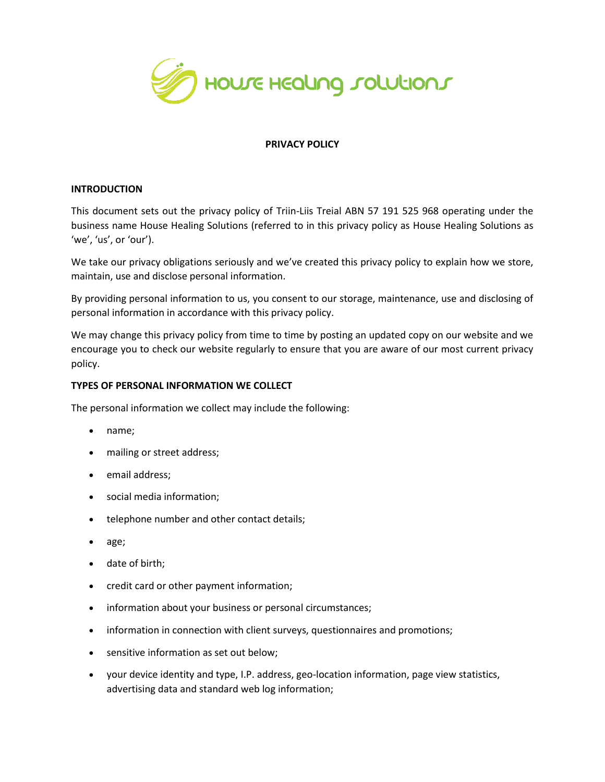

### **PRIVACY POLICY**

#### **INTRODUCTION**

This document sets out the privacy policy of Triin-Liis Treial ABN 57 191 525 968 operating under the business name House Healing Solutions (referred to in this privacy policy as House Healing Solutions as 'we', 'us', or 'our').

We take our privacy obligations seriously and we've created this privacy policy to explain how we store, maintain, use and disclose personal information.

By providing personal information to us, you consent to our storage, maintenance, use and disclosing of personal information in accordance with this privacy policy.

We may change this privacy policy from time to time by posting an updated copy on our website and we encourage you to check our website regularly to ensure that you are aware of our most current privacy policy.

### **TYPES OF PERSONAL INFORMATION WE COLLECT**

The personal information we collect may include the following:

- name;
- mailing or street address;
- email address;
- social media information;
- telephone number and other contact details;
- age;
- date of birth;
- credit card or other payment information;
- information about your business or personal circumstances;
- information in connection with client surveys, questionnaires and promotions;
- sensitive information as set out below;
- your device identity and type, I.P. address, geo-location information, page view statistics, advertising data and standard web log information;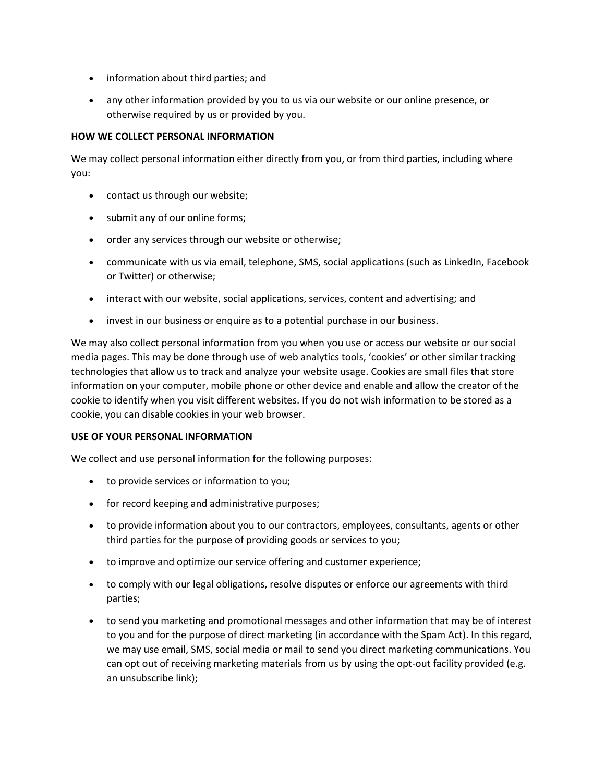- information about third parties; and
- any other information provided by you to us via our website or our online presence, or otherwise required by us or provided by you.

### **HOW WE COLLECT PERSONAL INFORMATION**

We may collect personal information either directly from you, or from third parties, including where you:

- contact us through our website;
- submit any of our online forms;
- order any services through our website or otherwise;
- communicate with us via email, telephone, SMS, social applications (such as LinkedIn, Facebook or Twitter) or otherwise;
- interact with our website, social applications, services, content and advertising; and
- invest in our business or enquire as to a potential purchase in our business.

We may also collect personal information from you when you use or access our website or our social media pages. This may be done through use of web analytics tools, 'cookies' or other similar tracking technologies that allow us to track and analyze your website usage. Cookies are small files that store information on your computer, mobile phone or other device and enable and allow the creator of the cookie to identify when you visit different websites. If you do not wish information to be stored as a cookie, you can disable cookies in your web browser.

### **USE OF YOUR PERSONAL INFORMATION**

We collect and use personal information for the following purposes:

- to provide services or information to you;
- for record keeping and administrative purposes;
- to provide information about you to our contractors, employees, consultants, agents or other third parties for the purpose of providing goods or services to you;
- to improve and optimize our service offering and customer experience;
- to comply with our legal obligations, resolve disputes or enforce our agreements with third parties;
- to send you marketing and promotional messages and other information that may be of interest to you and for the purpose of direct marketing (in accordance with the Spam Act). In this regard, we may use email, SMS, social media or mail to send you direct marketing communications. You can opt out of receiving marketing materials from us by using the opt-out facility provided (e.g. an unsubscribe link);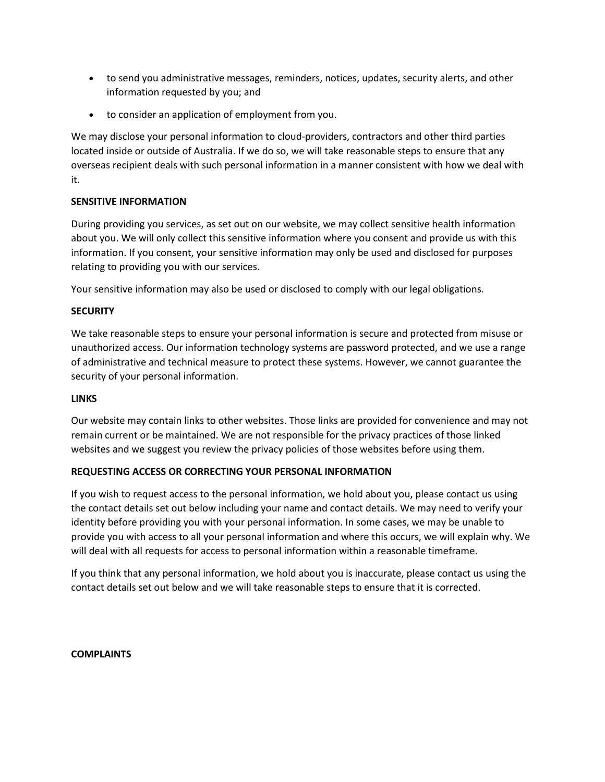- to send you administrative messages, reminders, notices, updates, security alerts, and other information requested by you; and
- to consider an application of employment from you.

We may disclose your personal information to cloud-providers, contractors and other third parties located inside or outside of Australia. If we do so, we will take reasonable steps to ensure that any overseas recipient deals with such personal information in a manner consistent with how we deal with it.

### **SENSITIVE INFORMATION**

During providing you services, as set out on our website, we may collect sensitive health information about you. We will only collect this sensitive information where you consent and provide us with this information. If you consent, your sensitive information may only be used and disclosed for purposes relating to providing you with our services.

Your sensitive information may also be used or disclosed to comply with our legal obligations.

### **SECURITY**

We take reasonable steps to ensure your personal information is secure and protected from misuse or unauthorized access. Our information technology systems are password protected, and we use a range of administrative and technical measure to protect these systems. However, we cannot guarantee the security of your personal information.

### **LINKS**

Our website may contain links to other websites. Those links are provided for convenience and may not remain current or be maintained. We are not responsible for the privacy practices of those linked websites and we suggest you review the privacy policies of those websites before using them.

# **REQUESTING ACCESS OR CORRECTING YOUR PERSONAL INFORMATION**

If you wish to request access to the personal information, we hold about you, please contact us using the contact details set out below including your name and contact details. We may need to verify your identity before providing you with your personal information. In some cases, we may be unable to provide you with access to all your personal information and where this occurs, we will explain why. We will deal with all requests for access to personal information within a reasonable timeframe.

If you think that any personal information, we hold about you is inaccurate, please contact us using the contact details set out below and we will take reasonable steps to ensure that it is corrected.

### **COMPLAINTS**